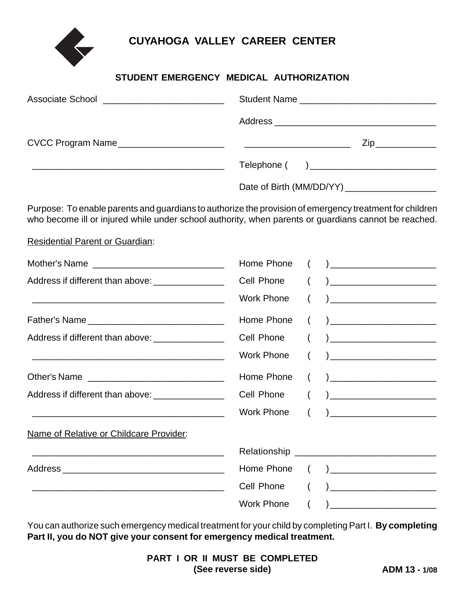**CUYAHOGA VALLEY CAREER CENTER**

## **STUDENT EMERGENCY MEDICAL AUTHORIZATION**

| Associate School ____________________________ |                                                                                                                                                                                                                 |
|-----------------------------------------------|-----------------------------------------------------------------------------------------------------------------------------------------------------------------------------------------------------------------|
|                                               |                                                                                                                                                                                                                 |
|                                               | $\mathsf{Zip}\_$                                                                                                                                                                                                |
|                                               |                                                                                                                                                                                                                 |
|                                               |                                                                                                                                                                                                                 |
|                                               | Purpose: To enable parents and guardians to authorize the provision of emergency treatment for children<br>who become ill or injured while under school authority, when parents or guardians cannot be reached. |

Residential Parent or Guardian:

| Home Phone        |                                                                                                                                                              |                                                                                                                                                                                                                                                                                                                                                                             |
|-------------------|--------------------------------------------------------------------------------------------------------------------------------------------------------------|-----------------------------------------------------------------------------------------------------------------------------------------------------------------------------------------------------------------------------------------------------------------------------------------------------------------------------------------------------------------------------|
| Cell Phone        |                                                                                                                                                              | <u>) _____________________________</u>                                                                                                                                                                                                                                                                                                                                      |
| Work Phone        |                                                                                                                                                              |                                                                                                                                                                                                                                                                                                                                                                             |
| Home Phone        |                                                                                                                                                              | $\begin{picture}(150,10) \put(0,0){\line(1,0){10}} \put(15,0){\line(1,0){10}} \put(15,0){\line(1,0){10}} \put(15,0){\line(1,0){10}} \put(15,0){\line(1,0){10}} \put(15,0){\line(1,0){10}} \put(15,0){\line(1,0){10}} \put(15,0){\line(1,0){10}} \put(15,0){\line(1,0){10}} \put(15,0){\line(1,0){10}} \put(15,0){\line(1,0){10}} \put(15,0){\line($                         |
| Cell Phone        |                                                                                                                                                              |                                                                                                                                                                                                                                                                                                                                                                             |
| <b>Work Phone</b> |                                                                                                                                                              |                                                                                                                                                                                                                                                                                                                                                                             |
| Home Phone        |                                                                                                                                                              |                                                                                                                                                                                                                                                                                                                                                                             |
|                   |                                                                                                                                                              | $\begin{pmatrix} 1 & 1 \end{pmatrix}$                                                                                                                                                                                                                                                                                                                                       |
| Work Phone        | $\left($                                                                                                                                                     | $\begin{picture}(20,10) \put(0,0){\line(1,0){10}} \put(15,0){\line(1,0){10}} \put(15,0){\line(1,0){10}} \put(15,0){\line(1,0){10}} \put(15,0){\line(1,0){10}} \put(15,0){\line(1,0){10}} \put(15,0){\line(1,0){10}} \put(15,0){\line(1,0){10}} \put(15,0){\line(1,0){10}} \put(15,0){\line(1,0){10}} \put(15,0){\line(1,0){10}} \put(15,0){\line(1$                         |
|                   |                                                                                                                                                              |                                                                                                                                                                                                                                                                                                                                                                             |
|                   |                                                                                                                                                              |                                                                                                                                                                                                                                                                                                                                                                             |
| Home Phone        |                                                                                                                                                              |                                                                                                                                                                                                                                                                                                                                                                             |
| Cell Phone        |                                                                                                                                                              | $\begin{tabular}{ c c c c } \hline \quad \quad & \quad \quad & \quad \quad & \quad \quad \\ \hline \end{tabular}$                                                                                                                                                                                                                                                           |
| <b>Work Phone</b> |                                                                                                                                                              | $\begin{picture}(20,10) \put(0,0){\dashbox{0.5}(5,0){ }} \put(15,0){\dashbox{0.5}(5,0){ }} \put(15,0){\dashbox{0.5}(5,0){ }} \put(15,0){\dashbox{0.5}(5,0){ }} \put(15,0){\dashbox{0.5}(5,0){ }} \put(15,0){\dashbox{0.5}(5,0){ }} \put(15,0){\dashbox{0.5}(5,0){ }} \put(15,0){\dashbox{0.5}(5,0){ }} \put(15,0){\dashbox{0.5}(5,0){ }} \put(15,0){\dashbox{0.5}(5,0){ }}$ |
|                   | Address if different than above: ________________<br>Address if different than above: _________________<br>Address if different than above: ________________ | Cell Phone                                                                                                                                                                                                                                                                                                                                                                  |

You can authorize such emergency medical treatment for your child by completing Part I. **By completing Part II, you do NOT give your consent for emergency medical treatment.**

|                    |  |  |  |  |  | <b>PART I OR II MUST BE COMPLETED</b> |
|--------------------|--|--|--|--|--|---------------------------------------|
| (See reverse side) |  |  |  |  |  |                                       |